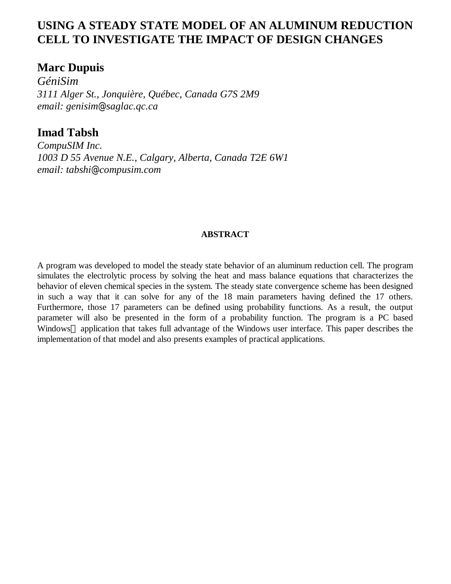# **USING A STEADY STATE MODEL OF AN ALUMINUM REDUCTION CELL TO INVESTIGATE THE IMPACT OF DESIGN CHANGES**

# **Marc Dupuis**

*GéniSim 3111 Alger St., Jonquière, Québec, Canada G7S 2M9 email: genisim@saglac.qc.ca*

**Imad Tabsh**

*CompuSIM Inc. 1003 D 55 Avenue N.E., Calgary, Alberta, Canada T2E 6W1 email: tabshi@compusim.com*

# **ABSTRACT**

A program was developed to model the steady state behavior of an aluminum reduction cell. The program simulates the electrolytic process by solving the heat and mass balance equations that characterizes the behavior of eleven chemical species in the system. The steady state convergence scheme has been designed in such a way that it can solve for any of the 18 main parameters having defined the 17 others. Furthermore, those 17 parameters can be defined using probability functions. As a result, the output parameter will also be presented in the form of a probability function. The program is a PC based Windows<sup>®</sup> application that takes full advantage of the Windows user interface. This paper describes the implementation of that model and also presents examples of practical applications.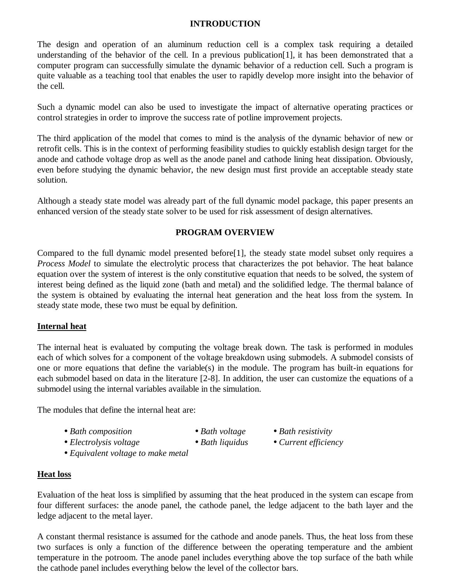## **INTRODUCTION**

The design and operation of an aluminum reduction cell is a complex task requiring a detailed understanding of the behavior of the cell. In a previous publication[1], it has been demonstrated that a computer program can successfully simulate the dynamic behavior of a reduction cell. Such a program is quite valuable as a teaching tool that enables the user to rapidly develop more insight into the behavior of the cell.

Such a dynamic model can also be used to investigate the impact of alternative operating practices or control strategies in order to improve the success rate of potline improvement projects.

The third application of the model that comes to mind is the analysis of the dynamic behavior of new or retrofit cells. This is in the context of performing feasibility studies to quickly establish design target for the anode and cathode voltage drop as well as the anode panel and cathode lining heat dissipation. Obviously, even before studying the dynamic behavior, the new design must first provide an acceptable steady state solution.

Although a steady state model was already part of the full dynamic model package, this paper presents an enhanced version of the steady state solver to be used for risk assessment of design alternatives.

# **PROGRAM OVERVIEW**

Compared to the full dynamic model presented before[1], the steady state model subset only requires a *Process Model* to simulate the electrolytic process that characterizes the pot behavior. The heat balance equation over the system of interest is the only constitutive equation that needs to be solved, the system of interest being defined as the liquid zone (bath and metal) and the solidified ledge. The thermal balance of the system is obtained by evaluating the internal heat generation and the heat loss from the system. In steady state mode, these two must be equal by definition.

# **Internal heat**

The internal heat is evaluated by computing the voltage break down. The task is performed in modules each of which solves for a component of the voltage breakdown using submodels. A submodel consists of one or more equations that define the variable(s) in the module. The program has built-in equations for each submodel based on data in the literature [2-8]. In addition, the user can customize the equations of a submodel using the internal variables available in the simulation.

The modules that define the internal heat are:

- •*Bath composition* •*Bath voltage* •*Bath resistivity*
- 
- •*Electrolysis voltage* •*Bath liquidus* •*Current efficiency*
	-
- 
- 

• *Equivalent voltage to make metal*

# **Heat loss**

Evaluation of the heat loss is simplified by assuming that the heat produced in the system can escape from four different surfaces: the anode panel, the cathode panel, the ledge adjacent to the bath layer and the ledge adjacent to the metal layer.

A constant thermal resistance is assumed for the cathode and anode panels. Thus, the heat loss from these two surfaces is only a function of the difference between the operating temperature and the ambient temperature in the potroom. The anode panel includes everything above the top surface of the bath while the cathode panel includes everything below the level of the collector bars.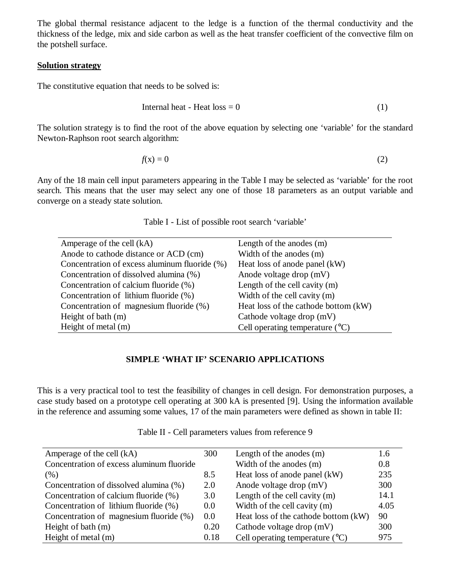The global thermal resistance adjacent to the ledge is a function of the thermal conductivity and the thickness of the ledge, mix and side carbon as well as the heat transfer coefficient of the convective film on the potshell surface.

### **Solution strategy**

The constitutive equation that needs to be solved is:

$$
Internal heat - Heat loss = 0 \tag{1}
$$

The solution strategy is to find the root of the above equation by selecting one 'variable' for the standard Newton-Raphson root search algorithm:

$$
f(\mathbf{x}) = 0 \tag{2}
$$

Any of the 18 main cell input parameters appearing in the Table I may be selected as 'variable' for the root search. This means that the user may select any one of those 18 parameters as an output variable and converge on a steady state solution.

| Amperage of the cell (kA)                     | Length of the anodes (m)                 |
|-----------------------------------------------|------------------------------------------|
| Anode to cathode distance or ACD (cm)         | Width of the anodes (m)                  |
| Concentration of excess aluminum fluoride (%) | Heat loss of anode panel (kW)            |
| Concentration of dissolved alumina (%)        | Anode voltage drop (mV)                  |
| Concentration of calcium fluoride (%)         | Length of the cell cavity $(m)$          |
| Concentration of lithium fluoride (%)         | Width of the cell cavity (m)             |
| Concentration of magnesium fluoride (%)       | Heat loss of the cathode bottom (kW)     |
| Height of bath (m)                            | Cathode voltage drop (mV)                |
| Height of metal (m)                           | Cell operating temperature $(^{\circ}C)$ |
|                                               |                                          |

Table I - List of possible root search 'variable'

## **SIMPLE 'WHAT IF' SCENARIO APPLICATIONS**

This is a very practical tool to test the feasibility of changes in cell design. For demonstration purposes, a case study based on a prototype cell operating at 300 kA is presented [9]. Using the information available in the reference and assuming some values, 17 of the main parameters were defined as shown in table II:

| Amperage of the cell (kA)                 | 300  | Length of the anodes $(m)$               | 1.6  |
|-------------------------------------------|------|------------------------------------------|------|
| Concentration of excess aluminum fluoride |      | Width of the anodes (m)                  | 0.8  |
| $(\% )$                                   | 8.5  | Heat loss of anode panel (kW)            | 235  |
| Concentration of dissolved alumina (%)    | 2.0  | Anode voltage drop (mV)                  | 300  |
| Concentration of calcium fluoride (%)     | 3.0  | Length of the cell cavity $(m)$          | 14.1 |
| Concentration of lithium fluoride (%)     | 0.0  | Width of the cell cavity (m)             | 4.05 |
| Concentration of magnesium fluoride (%)   | 0.0  | Heat loss of the cathode bottom (kW)     | 90   |
| Height of bath (m)                        | 0.20 | Cathode voltage drop (mV)                | 300  |
| Height of metal (m)                       | 0.18 | Cell operating temperature $(^{\circ}C)$ | 975  |

Table II - Cell parameters values from reference 9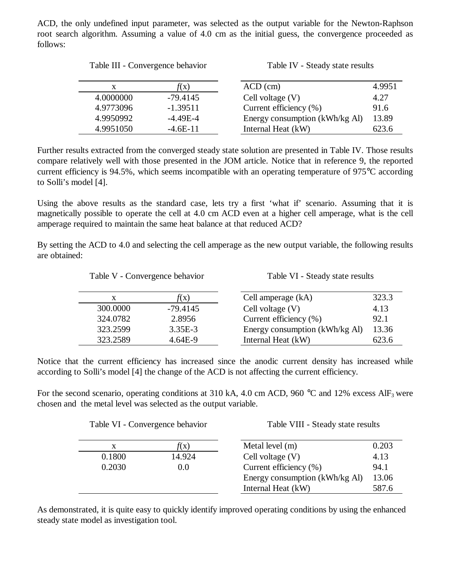ACD, the only undefined input parameter, was selected as the output variable for the Newton-Raphson root search algorithm. Assuming a value of 4.0 cm as the initial guess, the convergence proceeded as follows:

| Table III - Convergence behavior |                 | Table IV - Steady state results |        |
|----------------------------------|-----------------|---------------------------------|--------|
| X                                | $f(\mathbf{x})$ | $ACD$ (cm)                      | 4.9951 |
| 4.0000000                        | $-79.4145$      | Cell voltage $(V)$              | 4.27   |
| 4.9773096                        | $-1.39511$      | Current efficiency (%)          | 91.6   |
| 4.9950992                        | $-4.49E-4$      | Energy consumption (kWh/kg Al)  | 13.89  |
| 4.9951050                        | $-4.6E-11$      | Internal Heat (kW)              | 623.6  |

Further results extracted from the converged steady state solution are presented in Table IV. Those results compare relatively well with those presented in the JOM article. Notice that in reference 9, the reported current efficiency is 94.5%, which seems incompatible with an operating temperature of 975°C according to Solli's model [4].

Using the above results as the standard case, lets try a first 'what if' scenario. Assuming that it is magnetically possible to operate the cell at 4.0 cm ACD even at a higher cell amperage, what is the cell amperage required to maintain the same heat balance at that reduced ACD?

By setting the ACD to 4.0 and selecting the cell amperage as the new output variable, the following results are obtained:

Table VI - Steady state results

| X        | $f(\mathrm{x})$ | Cell amperage (kA)             | 323.3 |
|----------|-----------------|--------------------------------|-------|
| 300.0000 | $-79.4145$      | Cell voltage $(V)$             | 4.13  |
| 324.0782 | 2.8956          | Current efficiency $(\% )$     | 92.1  |
| 323.2599 | $3.35E-3$       | Energy consumption (kWh/kg Al) | 13.36 |
| 323.2589 | $4.64E-9$       | Internal Heat (kW)             | 623.6 |

Notice that the current efficiency has increased since the anodic current density has increased while according to Solli's model [4] the change of the ACD is not affecting the current efficiency.

For the second scenario, operating conditions at 310 kA, 4.0 cm ACD, 960  $^{\circ}$ C and 12% excess AlF<sub>3</sub> were chosen and the metal level was selected as the output variable.

|        | Table VI - Convergence behavior | Table VIII - Steady state results |       |
|--------|---------------------------------|-----------------------------------|-------|
| X      | f(x)                            | Metal level $(m)$                 | 0.203 |
| 0.1800 | 14.924                          | Cell voltage $(V)$                | 4.13  |
| 0.2030 | 0.0                             | Current efficiency (%)            | 94.1  |
|        |                                 | Energy consumption (kWh/kg Al)    | 13.06 |
|        |                                 | Internal Heat (kW)                | 587.6 |
|        |                                 |                                   |       |

As demonstrated, it is quite easy to quickly identify improved operating conditions by using the enhanced steady state model as investigation tool.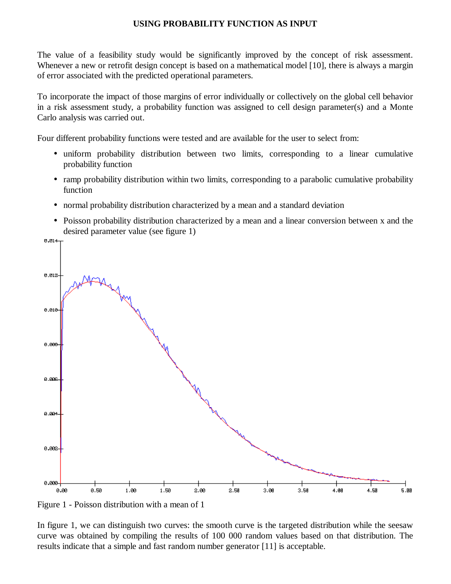## **USING PROBABILITY FUNCTION AS INPUT**

The value of a feasibility study would be significantly improved by the concept of risk assessment. Whenever a new or retrofit design concept is based on a mathematical model [10], there is always a margin of error associated with the predicted operational parameters.

To incorporate the impact of those margins of error individually or collectively on the global cell behavior in a risk assessment study, a probability function was assigned to cell design parameter(s) and a Monte Carlo analysis was carried out.

Four different probability functions were tested and are available for the user to select from:

- uniform probability distribution between two limits, corresponding to a linear cumulative probability function
- ramp probability distribution within two limits, corresponding to a parabolic cumulative probability function
- normal probability distribution characterized by a mean and a standard deviation
- Poisson probability distribution characterized by a mean and a linear conversion between x and the desired parameter value (see figure 1)



Figure 1 - Poisson distribution with a mean of 1

In figure 1, we can distinguish two curves: the smooth curve is the targeted distribution while the seesaw curve was obtained by compiling the results of 100 000 random values based on that distribution. The results indicate that a simple and fast random number generator [11] is acceptable.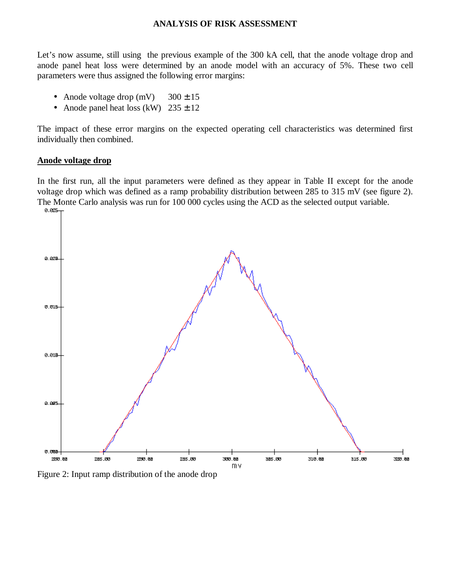#### **ANALYSIS OF RISK ASSESSMENT**

Let's now assume, still using the previous example of the 300 kA cell, that the anode voltage drop and anode panel heat loss were determined by an anode model with an accuracy of 5%. These two cell parameters were thus assigned the following error margins:

- Anode voltage drop  $(mV)$  300  $\pm$  15
- Anode panel heat loss (kW)  $235 \pm 12$

The impact of these error margins on the expected operating cell characteristics was determined first individually then combined.

#### **Anode voltage drop**

In the first run, all the input parameters were defined as they appear in Table II except for the anode voltage drop which was defined as a ramp probability distribution between 285 to 315 mV (see figure 2). The Monte Carlo analysis was run for 100 000 cycles using the ACD as the selected output variable.<br>  $\frac{0.825-1}{0.825}$ 



Figure 2: Input ramp distribution of the anode drop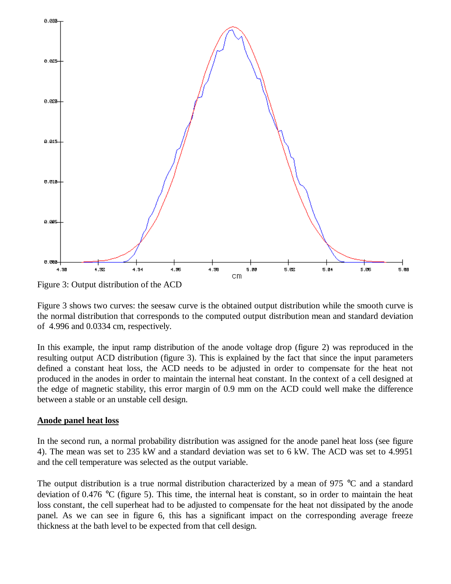

Figure 3: Output distribution of the ACD

Figure 3 shows two curves: the seesaw curve is the obtained output distribution while the smooth curve is the normal distribution that corresponds to the computed output distribution mean and standard deviation of 4.996 and 0.0334 cm, respectively.

In this example, the input ramp distribution of the anode voltage drop (figure 2) was reproduced in the resulting output ACD distribution (figure 3). This is explained by the fact that since the input parameters defined a constant heat loss, the ACD needs to be adjusted in order to compensate for the heat not produced in the anodes in order to maintain the internal heat constant. In the context of a cell designed at the edge of magnetic stability, this error margin of 0.9 mm on the ACD could well make the difference between a stable or an unstable cell design.

#### **Anode panel heat loss**

In the second run, a normal probability distribution was assigned for the anode panel heat loss (see figure 4). The mean was set to 235 kW and a standard deviation was set to 6 kW. The ACD was set to 4.9951 and the cell temperature was selected as the output variable.

The output distribution is a true normal distribution characterized by a mean of 975 °C and a standard deviation of 0.476 °C (figure 5). This time, the internal heat is constant, so in order to maintain the heat loss constant, the cell superheat had to be adjusted to compensate for the heat not dissipated by the anode panel. As we can see in figure 6, this has a significant impact on the corresponding average freeze thickness at the bath level to be expected from that cell design.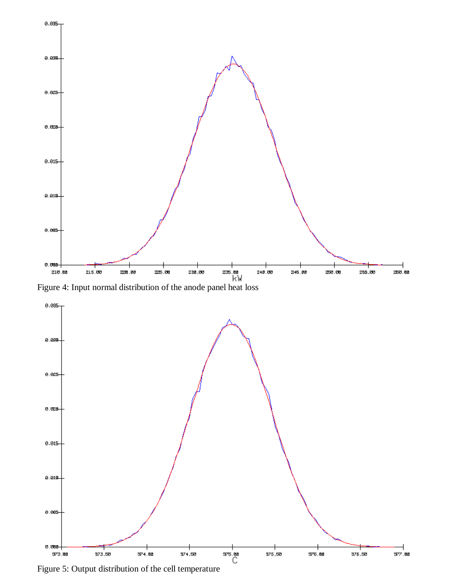

Figure 4: Input normal distribution of the anode panel heat loss



Figure 5: Output distribution of the cell temperature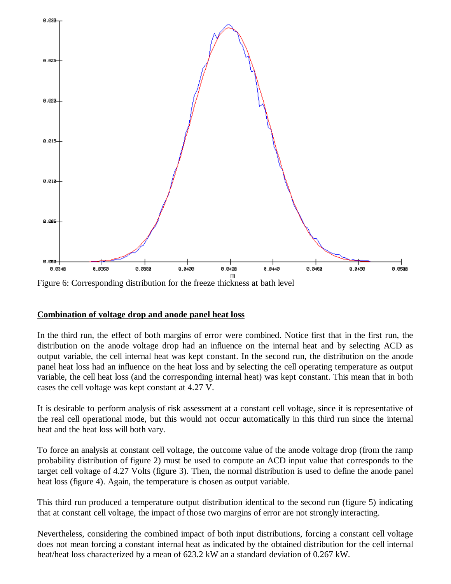

Figure 6: Corresponding distribution for the freeze thickness at bath level

## **Combination of voltage drop and anode panel heat loss**

In the third run, the effect of both margins of error were combined. Notice first that in the first run, the distribution on the anode voltage drop had an influence on the internal heat and by selecting ACD as output variable, the cell internal heat was kept constant. In the second run, the distribution on the anode panel heat loss had an influence on the heat loss and by selecting the cell operating temperature as output variable, the cell heat loss (and the corresponding internal heat) was kept constant. This mean that in both cases the cell voltage was kept constant at 4.27 V.

It is desirable to perform analysis of risk assessment at a constant cell voltage, since it is representative of the real cell operational mode, but this would not occur automatically in this third run since the internal heat and the heat loss will both vary.

To force an analysis at constant cell voltage, the outcome value of the anode voltage drop (from the ramp probability distribution of figure 2) must be used to compute an ACD input value that corresponds to the target cell voltage of 4.27 Volts (figure 3). Then, the normal distribution is used to define the anode panel heat loss (figure 4). Again, the temperature is chosen as output variable.

This third run produced a temperature output distribution identical to the second run (figure 5) indicating that at constant cell voltage, the impact of those two margins of error are not strongly interacting.

Nevertheless, considering the combined impact of both input distributions, forcing a constant cell voltage does not mean forcing a constant internal heat as indicated by the obtained distribution for the cell internal heat/heat loss characterized by a mean of 623.2 kW an a standard deviation of 0.267 kW.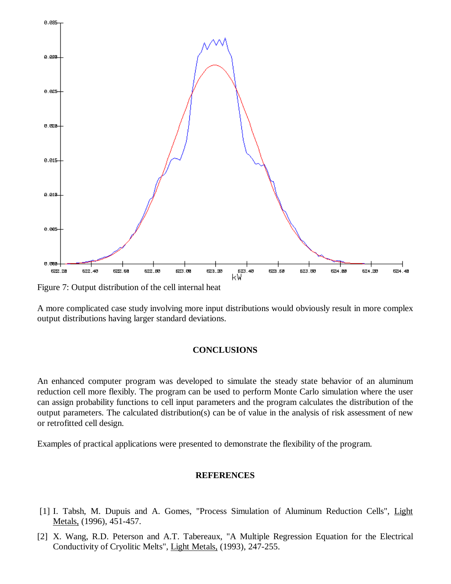

Figure 7: Output distribution of the cell internal heat

A more complicated case study involving more input distributions would obviously result in more complex output distributions having larger standard deviations.

#### **CONCLUSIONS**

An enhanced computer program was developed to simulate the steady state behavior of an aluminum reduction cell more flexibly. The program can be used to perform Monte Carlo simulation where the user can assign probability functions to cell input parameters and the program calculates the distribution of the output parameters. The calculated distribution(s) can be of value in the analysis of risk assessment of new or retrofitted cell design.

Examples of practical applications were presented to demonstrate the flexibility of the program.

#### **REFERENCES**

- [1] I. Tabsh, M. Dupuis and A. Gomes, "Process Simulation of Aluminum Reduction Cells", Light Metals, (1996), 451-457.
- [2] X. Wang, R.D. Peterson and A.T. Tabereaux, "A Multiple Regression Equation for the Electrical Conductivity of Cryolitic Melts", Light Metals, (1993), 247-255.